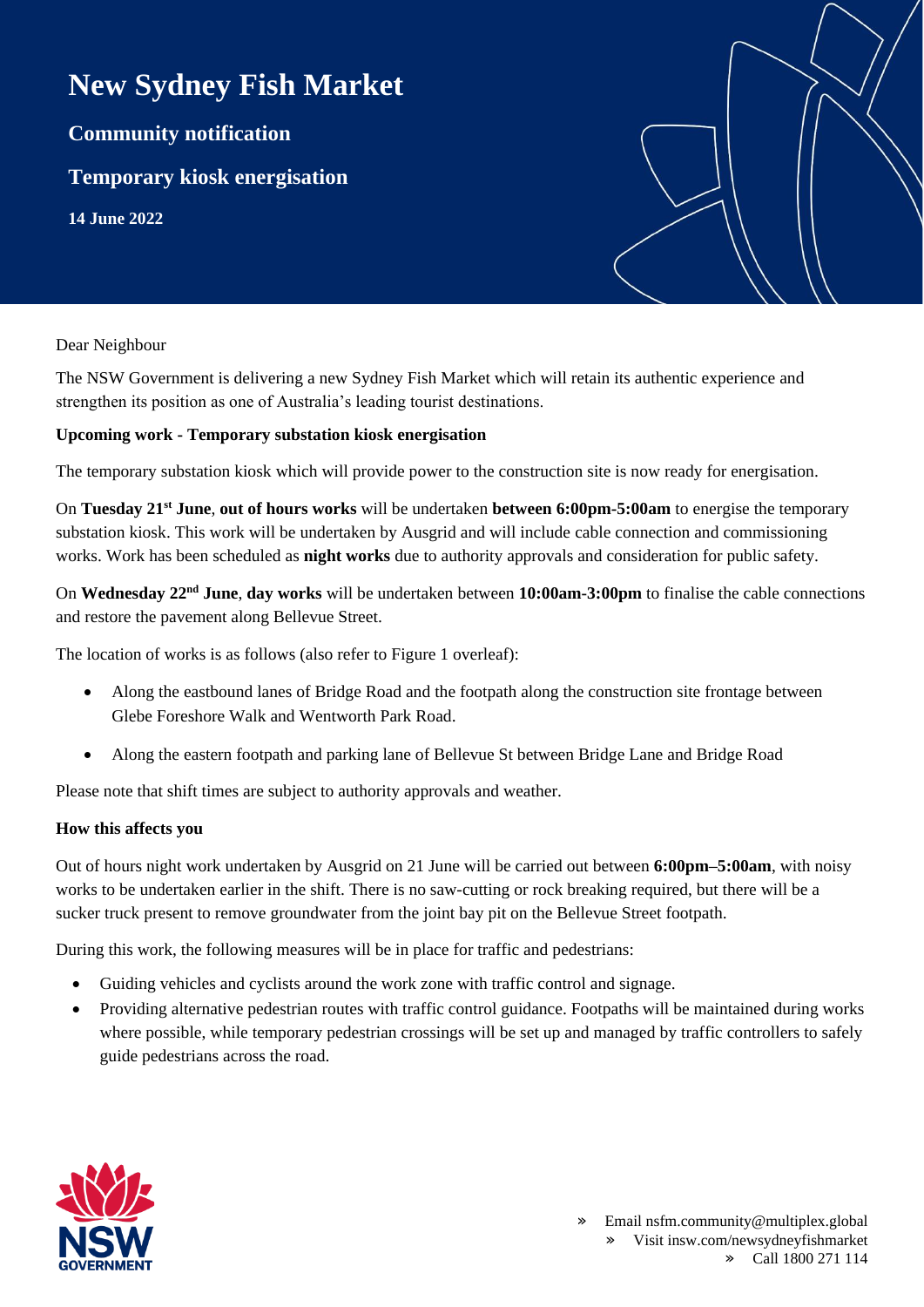# **New Sydney Fish Market**

**Community notification**

**Temporary kiosk energisation**

**14 June 2022**

### Dear Neighbour

The NSW Government is delivering a new Sydney Fish Market which will retain its authentic experience and strengthen its position as one of Australia's leading tourist destinations.

## **Upcoming work - Temporary substation kiosk energisation**

The temporary substation kiosk which will provide power to the construction site is now ready for energisation.

On **Tuesday 21st June**, **out of hours works** will be undertaken **between 6:00pm-5:00am** to energise the temporary substation kiosk. This work will be undertaken by Ausgrid and will include cable connection and commissioning works. Work has been scheduled as **night works** due to authority approvals and consideration for public safety.

On **Wednesday 22nd June**, **day works** will be undertaken between **10:00am-3:00pm** to finalise the cable connections and restore the pavement along Bellevue Street.

The location of works is as follows (also refer to Figure 1 overleaf):

- Along the eastbound lanes of Bridge Road and the footpath along the construction site frontage between Glebe Foreshore Walk and Wentworth Park Road.
- Along the eastern footpath and parking lane of Bellevue St between Bridge Lane and Bridge Road

Please note that shift times are subject to authority approvals and weather.

### **How this affects you**

Out of hours night work undertaken by Ausgrid on 21 June will be carried out between **6:00pm–5:00am**, with noisy works to be undertaken earlier in the shift. There is no saw-cutting or rock breaking required, but there will be a sucker truck present to remove groundwater from the joint bay pit on the Bellevue Street footpath.

During this work, the following measures will be in place for traffic and pedestrians:

- Guiding vehicles and cyclists around the work zone with traffic control and signage.
- Providing alternative pedestrian routes with traffic control guidance. Footpaths will be maintained during works where possible, while temporary pedestrian crossings will be set up and managed by traffic controllers to safely guide pedestrians across the road.